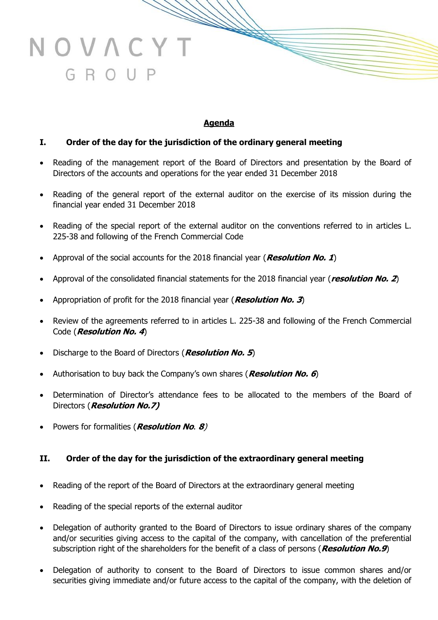# **Agenda**

## **I. Order of the day for the jurisdiction of the ordinary general meeting**

- Reading of the management report of the Board of Directors and presentation by the Board of Directors of the accounts and operations for the year ended 31 December 2018
- Reading of the general report of the external auditor on the exercise of its mission during the financial year ended 31 December 2018
- Reading of the special report of the external auditor on the conventions referred to in articles L. 225-38 and following of the French Commercial Code
- Approval of the social accounts for the 2018 financial year (**Resolution No. 1**)
- Approval of the consolidated financial statements for the 2018 financial year (**resolution No. 2**)
- Appropriation of profit for the 2018 financial year (**Resolution No. 3**)
- Review of the agreements referred to in articles L. 225-38 and following of the French Commercial Code (**Resolution No. 4**)
- Discharge to the Board of Directors (**Resolution No. 5**)
- Authorisation to buy back the Company's own shares (**Resolution No. 6**)
- Determination of Director's attendance fees to be allocated to the members of the Board of Directors (**Resolution No.7)**
- Powers for formalities (**Resolution No**. **8**)

NOVACY

GROUP

#### **II. Order of the day for the jurisdiction of the extraordinary general meeting**

- Reading of the report of the Board of Directors at the extraordinary general meeting
- Reading of the special reports of the external auditor
- Delegation of authority granted to the Board of Directors to issue ordinary shares of the company and/or securities giving access to the capital of the company, with cancellation of the preferential subscription right of the shareholders for the benefit of a class of persons (**Resolution No.9**)
- Delegation of authority to consent to the Board of Directors to issue common shares and/or securities giving immediate and/or future access to the capital of the company, with the deletion of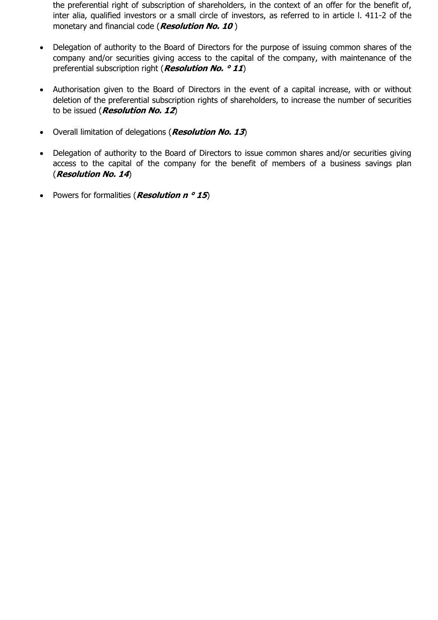the preferential right of subscription of shareholders, in the context of an offer for the benefit of, inter alia, qualified investors or a small circle of investors, as referred to in article l. 411-2 of the monetary and financial code (**Resolution No. 10** )

- Delegation of authority to the Board of Directors for the purpose of issuing common shares of the company and/or securities giving access to the capital of the company, with maintenance of the preferential subscription right (**Resolution No. ° 11**)
- Authorisation given to the Board of Directors in the event of a capital increase, with or without deletion of the preferential subscription rights of shareholders, to increase the number of securities to be issued (**Resolution No. 12**)
- Overall limitation of delegations (**Resolution No. 13**)
- Delegation of authority to the Board of Directors to issue common shares and/or securities giving access to the capital of the company for the benefit of members of a business savings plan (**Resolution No. 14**)
- Powers for formalities (*Resolution n* ° 15)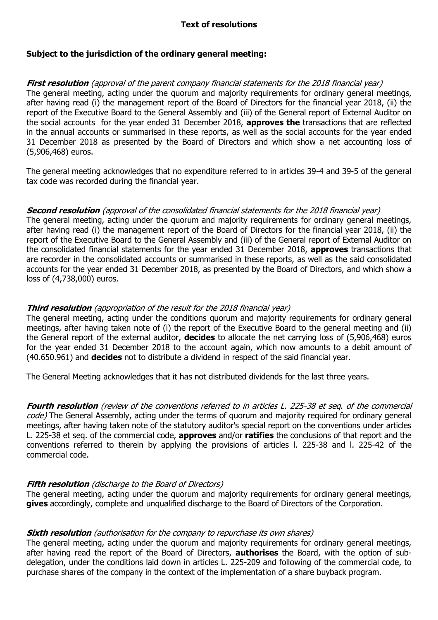## **Text of resolutions**

### **Subject to the jurisdiction of the ordinary general meeting:**

### **First resolution** (approval of the parent company financial statements for the 2018 financial year)

The general meeting, acting under the quorum and majority requirements for ordinary general meetings, after having read (i) the management report of the Board of Directors for the financial year 2018, (ii) the report of the Executive Board to the General Assembly and (iii) of the General report of External Auditor on the social accounts for the year ended 31 December 2018, **approves the** transactions that are reflected in the annual accounts or summarised in these reports, as well as the social accounts for the year ended 31 December 2018 as presented by the Board of Directors and which show a net accounting loss of (5,906,468) euros.

The general meeting acknowledges that no expenditure referred to in articles 39-4 and 39-5 of the general tax code was recorded during the financial year.

#### **Second resolution** (approval of the consolidated financial statements for the 2018 financial year)

The general meeting, acting under the quorum and majority requirements for ordinary general meetings, after having read (i) the management report of the Board of Directors for the financial year 2018, (ii) the report of the Executive Board to the General Assembly and (iii) of the General report of External Auditor on the consolidated financial statements for the year ended 31 December 2018, **approves** transactions that are recorder in the consolidated accounts or summarised in these reports, as well as the said consolidated accounts for the year ended 31 December 2018, as presented by the Board of Directors, and which show a loss of (4,738,000) euros.

#### **Third resolution** (appropriation of the result for the 2018 financial year)

The general meeting, acting under the conditions quorum and majority requirements for ordinary general meetings, after having taken note of (i) the report of the Executive Board to the general meeting and (ii) the General report of the external auditor, **decides** to allocate the net carrying loss of (5,906,468) euros for the year ended 31 December 2018 to the account again, which now amounts to a debit amount of (40.650.961) and **decides** not to distribute a dividend in respect of the said financial year.

The General Meeting acknowledges that it has not distributed dividends for the last three years.

**Fourth resolution** (review of the conventions referred to in articles L. 225-38 et seq. of the commercial code) The General Assembly, acting under the terms of quorum and majority required for ordinary general meetings, after having taken note of the statutory auditor's special report on the conventions under articles L. 225-38 et seq. of the commercial code, **approves** and/or **ratifies** the conclusions of that report and the conventions referred to therein by applying the provisions of articles l. 225-38 and l. 225-42 of the commercial code.

#### **Fifth resolution** (discharge to the Board of Directors)

The general meeting, acting under the quorum and majority requirements for ordinary general meetings, **gives** accordingly, complete and unqualified discharge to the Board of Directors of the Corporation.

#### **Sixth resolution** (authorisation for the company to repurchase its own shares)

The general meeting, acting under the quorum and majority requirements for ordinary general meetings, after having read the report of the Board of Directors, **authorises** the Board, with the option of subdelegation, under the conditions laid down in articles L. 225-209 and following of the commercial code, to purchase shares of the company in the context of the implementation of a share buyback program.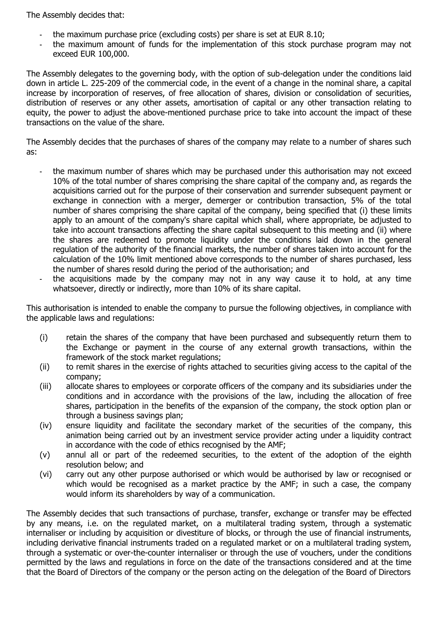The Assembly decides that:

- the maximum purchase price (excluding costs) per share is set at EUR 8.10;
- the maximum amount of funds for the implementation of this stock purchase program may not exceed EUR 100,000.

The Assembly delegates to the governing body, with the option of sub-delegation under the conditions laid down in article L. 225-209 of the commercial code, in the event of a change in the nominal share, a capital increase by incorporation of reserves, of free allocation of shares, division or consolidation of securities, distribution of reserves or any other assets, amortisation of capital or any other transaction relating to equity, the power to adjust the above-mentioned purchase price to take into account the impact of these transactions on the value of the share.

The Assembly decides that the purchases of shares of the company may relate to a number of shares such as:

- the maximum number of shares which may be purchased under this authorisation may not exceed 10% of the total number of shares comprising the share capital of the company and, as regards the acquisitions carried out for the purpose of their conservation and surrender subsequent payment or exchange in connection with a merger, demerger or contribution transaction, 5% of the total number of shares comprising the share capital of the company, being specified that (i) these limits apply to an amount of the company's share capital which shall, where appropriate, be adjusted to take into account transactions affecting the share capital subsequent to this meeting and (ii) where the shares are redeemed to promote liquidity under the conditions laid down in the general regulation of the authority of the financial markets, the number of shares taken into account for the calculation of the 10% limit mentioned above corresponds to the number of shares purchased, less the number of shares resold during the period of the authorisation; and
- the acquisitions made by the company may not in any way cause it to hold, at any time whatsoever, directly or indirectly, more than 10% of its share capital.

This authorisation is intended to enable the company to pursue the following objectives, in compliance with the applicable laws and regulations:

- (i) retain the shares of the company that have been purchased and subsequently return them to the Exchange or payment in the course of any external growth transactions, within the framework of the stock market regulations;
- (ii) to remit shares in the exercise of rights attached to securities giving access to the capital of the company;
- (iii) allocate shares to employees or corporate officers of the company and its subsidiaries under the conditions and in accordance with the provisions of the law, including the allocation of free shares, participation in the benefits of the expansion of the company, the stock option plan or through a business savings plan;
- (iv) ensure liquidity and facilitate the secondary market of the securities of the company, this animation being carried out by an investment service provider acting under a liquidity contract in accordance with the code of ethics recognised by the AMF;
- (v) annul all or part of the redeemed securities, to the extent of the adoption of the eighth resolution below; and
- (vi) carry out any other purpose authorised or which would be authorised by law or recognised or which would be recognised as a market practice by the AMF; in such a case, the company would inform its shareholders by way of a communication.

The Assembly decides that such transactions of purchase, transfer, exchange or transfer may be effected by any means, i.e. on the regulated market, on a multilateral trading system, through a systematic internaliser or including by acquisition or divestiture of blocks, or through the use of financial instruments, including derivative financial instruments traded on a regulated market or on a multilateral trading system, through a systematic or over-the-counter internaliser or through the use of vouchers, under the conditions permitted by the laws and regulations in force on the date of the transactions considered and at the time that the Board of Directors of the company or the person acting on the delegation of the Board of Directors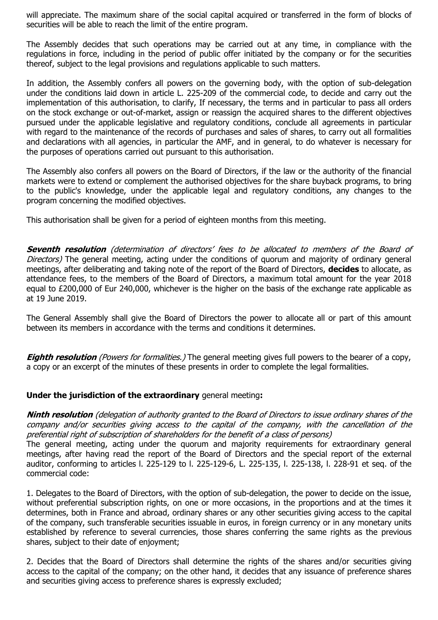will appreciate. The maximum share of the social capital acquired or transferred in the form of blocks of securities will be able to reach the limit of the entire program.

The Assembly decides that such operations may be carried out at any time, in compliance with the regulations in force, including in the period of public offer initiated by the company or for the securities thereof, subject to the legal provisions and regulations applicable to such matters.

In addition, the Assembly confers all powers on the governing body, with the option of sub-delegation under the conditions laid down in article L. 225-209 of the commercial code, to decide and carry out the implementation of this authorisation, to clarify, If necessary, the terms and in particular to pass all orders on the stock exchange or out-of-market, assign or reassign the acquired shares to the different objectives pursued under the applicable legislative and regulatory conditions, conclude all agreements in particular with regard to the maintenance of the records of purchases and sales of shares, to carry out all formalities and declarations with all agencies, in particular the AMF, and in general, to do whatever is necessary for the purposes of operations carried out pursuant to this authorisation.

The Assembly also confers all powers on the Board of Directors, if the law or the authority of the financial markets were to extend or complement the authorised objectives for the share buyback programs, to bring to the public's knowledge, under the applicable legal and regulatory conditions, any changes to the program concerning the modified objectives.

This authorisation shall be given for a period of eighteen months from this meeting.

**Seventh resolution** (determination of directors' fees to be allocated to members of the Board of Directors) The general meeting, acting under the conditions of quorum and majority of ordinary general meetings, after deliberating and taking note of the report of the Board of Directors, **decides** to allocate, as attendance fees, to the members of the Board of Directors, a maximum total amount for the year 2018 equal to £200,000 of Eur 240,000, whichever is the higher on the basis of the exchange rate applicable as at 19 June 2019.

The General Assembly shall give the Board of Directors the power to allocate all or part of this amount between its members in accordance with the terms and conditions it determines.

**Eighth resolution** (Powers for formalities.) The general meeting gives full powers to the bearer of a copy, a copy or an excerpt of the minutes of these presents in order to complete the legal formalities.

# **Under the jurisdiction of the extraordinary** general meeting**:**

**Ninth resolution** (delegation of authority granted to the Board of Directors to issue ordinary shares of the company and/or securities giving access to the capital of the company, with the cancellation of the preferential right of subscription of shareholders for the benefit of a class of persons)

The general meeting, acting under the quorum and majority requirements for extraordinary general meetings, after having read the report of the Board of Directors and the special report of the external auditor, conforming to articles l. 225-129 to l. 225-129-6, L. 225-135, l. 225-138, l. 228-91 et seq. of the commercial code:

1. Delegates to the Board of Directors, with the option of sub-delegation, the power to decide on the issue, without preferential subscription rights, on one or more occasions, in the proportions and at the times it determines, both in France and abroad, ordinary shares or any other securities giving access to the capital of the company, such transferable securities issuable in euros, in foreign currency or in any monetary units established by reference to several currencies, those shares conferring the same rights as the previous shares, subject to their date of enjoyment;

2. Decides that the Board of Directors shall determine the rights of the shares and/or securities giving access to the capital of the company; on the other hand, it decides that any issuance of preference shares and securities giving access to preference shares is expressly excluded;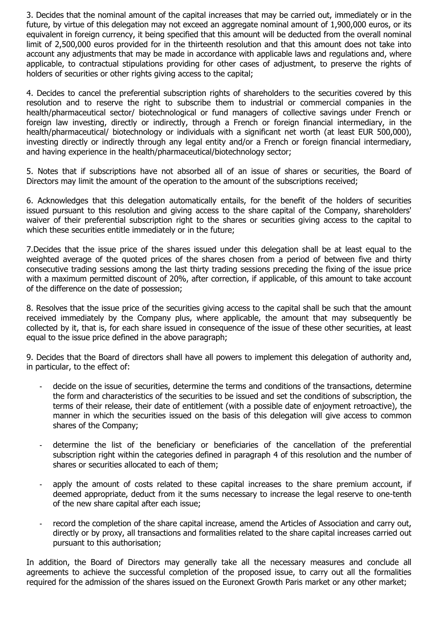3. Decides that the nominal amount of the capital increases that may be carried out, immediately or in the future, by virtue of this delegation may not exceed an aggregate nominal amount of 1,900,000 euros, or its equivalent in foreign currency, it being specified that this amount will be deducted from the overall nominal limit of 2,500,000 euros provided for in the thirteenth resolution and that this amount does not take into account any adjustments that may be made in accordance with applicable laws and regulations and, where applicable, to contractual stipulations providing for other cases of adjustment, to preserve the rights of holders of securities or other rights giving access to the capital;

4. Decides to cancel the preferential subscription rights of shareholders to the securities covered by this resolution and to reserve the right to subscribe them to industrial or commercial companies in the health/pharmaceutical sector/ biotechnological or fund managers of collective savings under French or foreign law investing, directly or indirectly, through a French or foreign financial intermediary, in the health/pharmaceutical/ biotechnology or individuals with a significant net worth (at least EUR 500,000), investing directly or indirectly through any legal entity and/or a French or foreign financial intermediary, and having experience in the health/pharmaceutical/biotechnology sector;

5. Notes that if subscriptions have not absorbed all of an issue of shares or securities, the Board of Directors may limit the amount of the operation to the amount of the subscriptions received;

6. Acknowledges that this delegation automatically entails, for the benefit of the holders of securities issued pursuant to this resolution and giving access to the share capital of the Company, shareholders' waiver of their preferential subscription right to the shares or securities giving access to the capital to which these securities entitle immediately or in the future;

7.Decides that the issue price of the shares issued under this delegation shall be at least equal to the weighted average of the quoted prices of the shares chosen from a period of between five and thirty consecutive trading sessions among the last thirty trading sessions preceding the fixing of the issue price with a maximum permitted discount of 20%, after correction, if applicable, of this amount to take account of the difference on the date of possession;

8. Resolves that the issue price of the securities giving access to the capital shall be such that the amount received immediately by the Company plus, where applicable, the amount that may subsequently be collected by it, that is, for each share issued in consequence of the issue of these other securities, at least equal to the issue price defined in the above paragraph;

9. Decides that the Board of directors shall have all powers to implement this delegation of authority and, in particular, to the effect of:

- decide on the issue of securities, determine the terms and conditions of the transactions, determine the form and characteristics of the securities to be issued and set the conditions of subscription, the terms of their release, their date of entitlement (with a possible date of enjoyment retroactive), the manner in which the securities issued on the basis of this delegation will give access to common shares of the Company;
- determine the list of the beneficiary or beneficiaries of the cancellation of the preferential subscription right within the categories defined in paragraph 4 of this resolution and the number of shares or securities allocated to each of them;
- apply the amount of costs related to these capital increases to the share premium account, if deemed appropriate, deduct from it the sums necessary to increase the legal reserve to one-tenth of the new share capital after each issue;
- record the completion of the share capital increase, amend the Articles of Association and carry out, directly or by proxy, all transactions and formalities related to the share capital increases carried out pursuant to this authorisation;

In addition, the Board of Directors may generally take all the necessary measures and conclude all agreements to achieve the successful completion of the proposed issue, to carry out all the formalities required for the admission of the shares issued on the Euronext Growth Paris market or any other market;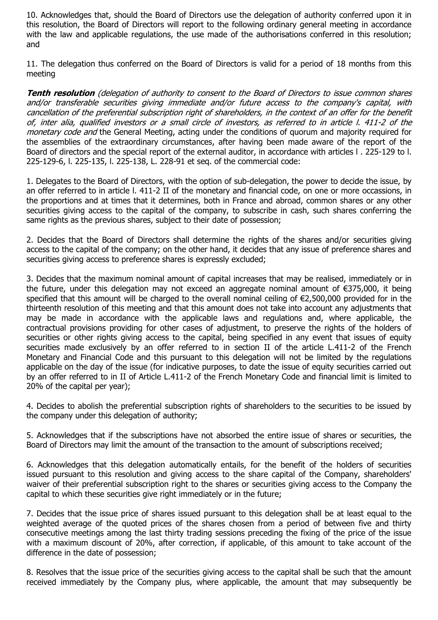10. Acknowledges that, should the Board of Directors use the delegation of authority conferred upon it in this resolution, the Board of Directors will report to the following ordinary general meeting in accordance with the law and applicable regulations, the use made of the authorisations conferred in this resolution; and

11. The delegation thus conferred on the Board of Directors is valid for a period of 18 months from this meeting

**Tenth resolution** (delegation of authority to consent to the Board of Directors to issue common shares and/or transferable securities giving immediate and/or future access to the company's capital, with cancellation of the preferential subscription right of shareholders, in the context of an offer for the benefit of, inter alia, qualified investors or a small circle of investors, as referred to in article l. 411-2 of the monetary code and the General Meeting, acting under the conditions of quorum and majority required for the assemblies of the extraordinary circumstances, after having been made aware of the report of the Board of directors and the special report of the external auditor, in accordance with articles l . 225-129 to l. 225-129-6, l. 225-135, l. 225-138, L. 228-91 et seq. of the commercial code:

1. Delegates to the Board of Directors, with the option of sub-delegation, the power to decide the issue, by an offer referred to in article l. 411-2 II of the monetary and financial code, on one or more occassions, in the proportions and at times that it determines, both in France and abroad, common shares or any other securities giving access to the capital of the company, to subscribe in cash, such shares conferring the same rights as the previous shares, subject to their date of possession;

2. Decides that the Board of Directors shall determine the rights of the shares and/or securities giving access to the capital of the company; on the other hand, it decides that any issue of preference shares and securities giving access to preference shares is expressly excluded;

3. Decides that the maximum nominal amount of capital increases that may be realised, immediately or in the future, under this delegation may not exceed an aggregate nominal amount of €375,000, it being specified that this amount will be charged to the overall nominal ceiling of €2,500,000 provided for in the thirteenth resolution of this meeting and that this amount does not take into account any adjustments that may be made in accordance with the applicable laws and regulations and, where applicable, the contractual provisions providing for other cases of adjustment, to preserve the rights of the holders of securities or other rights giving access to the capital, being specified in any event that issues of equity securities made exclusively by an offer referred to in section II of the article L.411-2 of the French Monetary and Financial Code and this pursuant to this delegation will not be limited by the regulations applicable on the day of the issue (for indicative purposes, to date the issue of equity securities carried out by an offer referred to in II of Article L.411-2 of the French Monetary Code and financial limit is limited to 20% of the capital per year);

4. Decides to abolish the preferential subscription rights of shareholders to the securities to be issued by the company under this delegation of authority;

5. Acknowledges that if the subscriptions have not absorbed the entire issue of shares or securities, the Board of Directors may limit the amount of the transaction to the amount of subscriptions received;

6. Acknowledges that this delegation automatically entails, for the benefit of the holders of securities issued pursuant to this resolution and giving access to the share capital of the Company, shareholders' waiver of their preferential subscription right to the shares or securities giving access to the Company the capital to which these securities give right immediately or in the future;

7. Decides that the issue price of shares issued pursuant to this delegation shall be at least equal to the weighted average of the quoted prices of the shares chosen from a period of between five and thirty consecutive meetings among the last thirty trading sessions preceding the fixing of the price of the issue with a maximum discount of 20%, after correction, if applicable, of this amount to take account of the difference in the date of possession;

8. Resolves that the issue price of the securities giving access to the capital shall be such that the amount received immediately by the Company plus, where applicable, the amount that may subsequently be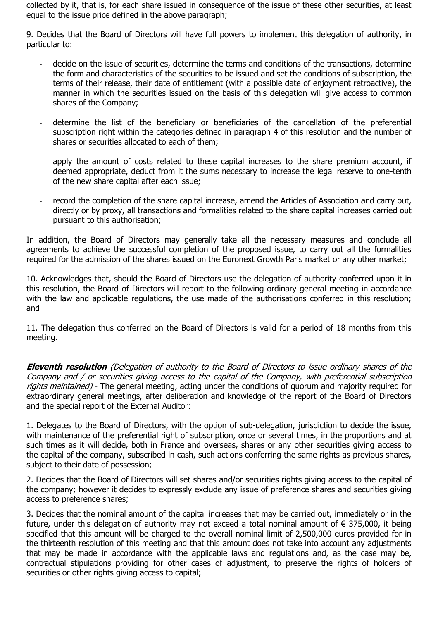collected by it, that is, for each share issued in consequence of the issue of these other securities, at least equal to the issue price defined in the above paragraph;

9. Decides that the Board of Directors will have full powers to implement this delegation of authority, in particular to:

- decide on the issue of securities, determine the terms and conditions of the transactions, determine the form and characteristics of the securities to be issued and set the conditions of subscription, the terms of their release, their date of entitlement (with a possible date of enjoyment retroactive), the manner in which the securities issued on the basis of this delegation will give access to common shares of the Company;
- determine the list of the beneficiary or beneficiaries of the cancellation of the preferential subscription right within the categories defined in paragraph 4 of this resolution and the number of shares or securities allocated to each of them;
- apply the amount of costs related to these capital increases to the share premium account, if deemed appropriate, deduct from it the sums necessary to increase the legal reserve to one-tenth of the new share capital after each issue;
- record the completion of the share capital increase, amend the Articles of Association and carry out, directly or by proxy, all transactions and formalities related to the share capital increases carried out pursuant to this authorisation;

In addition, the Board of Directors may generally take all the necessary measures and conclude all agreements to achieve the successful completion of the proposed issue, to carry out all the formalities required for the admission of the shares issued on the Euronext Growth Paris market or any other market;

10. Acknowledges that, should the Board of Directors use the delegation of authority conferred upon it in this resolution, the Board of Directors will report to the following ordinary general meeting in accordance with the law and applicable regulations, the use made of the authorisations conferred in this resolution; and

11. The delegation thus conferred on the Board of Directors is valid for a period of 18 months from this meeting.

**Eleventh resolution** (Delegation of authority to the Board of Directors to issue ordinary shares of the Company and / or securities giving access to the capital of the Company, with preferential subscription rights maintained) - The general meeting, acting under the conditions of quorum and majority required for extraordinary general meetings, after deliberation and knowledge of the report of the Board of Directors and the special report of the External Auditor:

1. Delegates to the Board of Directors, with the option of sub-delegation, jurisdiction to decide the issue, with maintenance of the preferential right of subscription, once or several times, in the proportions and at such times as it will decide, both in France and overseas, shares or any other securities giving access to the capital of the company, subscribed in cash, such actions conferring the same rights as previous shares, subject to their date of possession;

2. Decides that the Board of Directors will set shares and/or securities rights giving access to the capital of the company; however it decides to expressly exclude any issue of preference shares and securities giving access to preference shares;

3. Decides that the nominal amount of the capital increases that may be carried out, immediately or in the future, under this delegation of authority may not exceed a total nominal amount of  $\epsilon$  375,000, it being specified that this amount will be charged to the overall nominal limit of 2,500,000 euros provided for in the thirteenth resolution of this meeting and that this amount does not take into account any adjustments that may be made in accordance with the applicable laws and regulations and, as the case may be, contractual stipulations providing for other cases of adjustment, to preserve the rights of holders of securities or other rights giving access to capital;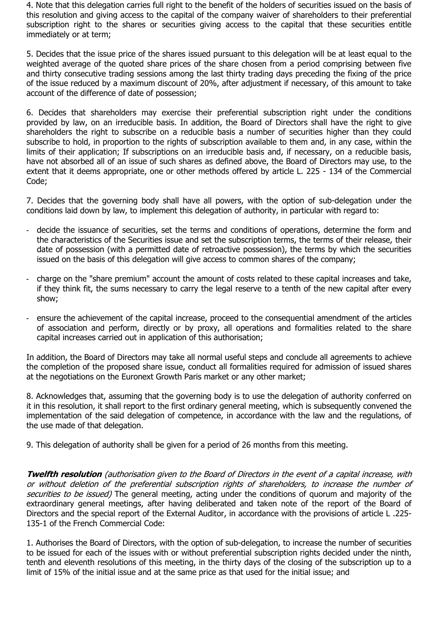4. Note that this delegation carries full right to the benefit of the holders of securities issued on the basis of this resolution and giving access to the capital of the company waiver of shareholders to their preferential subscription right to the shares or securities giving access to the capital that these securities entitle immediately or at term;

5. Decides that the issue price of the shares issued pursuant to this delegation will be at least equal to the weighted average of the quoted share prices of the share chosen from a period comprising between five and thirty consecutive trading sessions among the last thirty trading days preceding the fixing of the price of the issue reduced by a maximum discount of 20%, after adjustment if necessary, of this amount to take account of the difference of date of possession;

6. Decides that shareholders may exercise their preferential subscription right under the conditions provided by law, on an irreducible basis. In addition, the Board of Directors shall have the right to give shareholders the right to subscribe on a reducible basis a number of securities higher than they could subscribe to hold, in proportion to the rights of subscription available to them and, in any case, within the limits of their application; If subscriptions on an irreducible basis and, if necessary, on a reducible basis, have not absorbed all of an issue of such shares as defined above, the Board of Directors may use, to the extent that it deems appropriate, one or other methods offered by article L. 225 - 134 of the Commercial Code;

7. Decides that the governing body shall have all powers, with the option of sub-delegation under the conditions laid down by law, to implement this delegation of authority, in particular with regard to:

- decide the issuance of securities, set the terms and conditions of operations, determine the form and the characteristics of the Securities issue and set the subscription terms, the terms of their release, their date of possession (with a permitted date of retroactive possession), the terms by which the securities issued on the basis of this delegation will give access to common shares of the company;
- charge on the "share premium" account the amount of costs related to these capital increases and take, if they think fit, the sums necessary to carry the legal reserve to a tenth of the new capital after every show;
- ensure the achievement of the capital increase, proceed to the consequential amendment of the articles of association and perform, directly or by proxy, all operations and formalities related to the share capital increases carried out in application of this authorisation;

In addition, the Board of Directors may take all normal useful steps and conclude all agreements to achieve the completion of the proposed share issue, conduct all formalities required for admission of issued shares at the negotiations on the Euronext Growth Paris market or any other market;

8. Acknowledges that, assuming that the governing body is to use the delegation of authority conferred on it in this resolution, it shall report to the first ordinary general meeting, which is subsequently convened the implementation of the said delegation of competence, in accordance with the law and the regulations, of the use made of that delegation.

9. This delegation of authority shall be given for a period of 26 months from this meeting.

**Twelfth resolution** (authorisation given to the Board of Directors in the event of a capital increase, with or without deletion of the preferential subscription rights of shareholders, to increase the number of securities to be issued) The general meeting, acting under the conditions of quorum and majority of the extraordinary general meetings, after having deliberated and taken note of the report of the Board of Directors and the special report of the External Auditor, in accordance with the provisions of article L .225- 135-1 of the French Commercial Code:

1. Authorises the Board of Directors, with the option of sub-delegation, to increase the number of securities to be issued for each of the issues with or without preferential subscription rights decided under the ninth, tenth and eleventh resolutions of this meeting, in the thirty days of the closing of the subscription up to a limit of 15% of the initial issue and at the same price as that used for the initial issue; and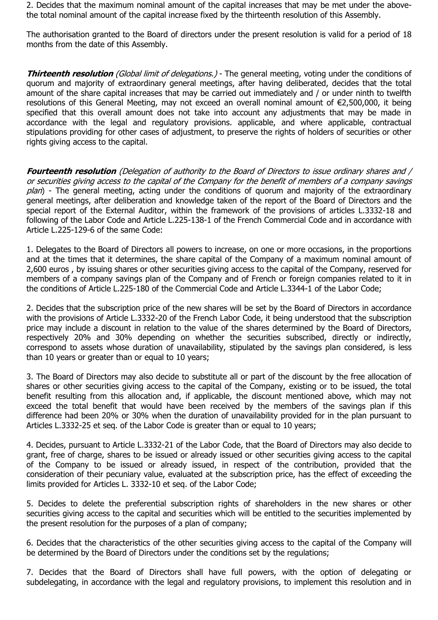2. Decides that the maximum nominal amount of the capital increases that may be met under the abovethe total nominal amount of the capital increase fixed by the thirteenth resolution of this Assembly.

The authorisation granted to the Board of directors under the present resolution is valid for a period of 18 months from the date of this Assembly.

**Thirteenth resolution** *(Global limit of delegations.)* - The general meeting, voting under the conditions of quorum and majority of extraordinary general meetings, after having deliberated, decides that the total amount of the share capital increases that may be carried out immediately and / or under ninth to twelfth resolutions of this General Meeting, may not exceed an overall nominal amount of €2,500,000, it being specified that this overall amount does not take into account any adjustments that may be made in accordance with the legal and regulatory provisions. applicable, and where applicable, contractual stipulations providing for other cases of adjustment, to preserve the rights of holders of securities or other rights giving access to the capital.

**Fourteenth resolution** (Delegation of authority to the Board of Directors to issue ordinary shares and / or securities giving access to the capital of the Company for the benefit of members of a company savings  $p$ lan) - The general meeting, acting under the conditions of quorum and majority of the extraordinary general meetings, after deliberation and knowledge taken of the report of the Board of Directors and the special report of the External Auditor, within the framework of the provisions of articles L.3332-18 and following of the Labor Code and Article L.225-138-1 of the French Commercial Code and in accordance with Article L.225-129-6 of the same Code:

1. Delegates to the Board of Directors all powers to increase, on one or more occasions, in the proportions and at the times that it determines, the share capital of the Company of a maximum nominal amount of 2,600 euros , by issuing shares or other securities giving access to the capital of the Company, reserved for members of a company savings plan of the Company and of French or foreign companies related to it in the conditions of Article L.225-180 of the Commercial Code and Article L.3344-1 of the Labor Code;

2. Decides that the subscription price of the new shares will be set by the Board of Directors in accordance with the provisions of Article L.3332-20 of the French Labor Code, it being understood that the subscription price may include a discount in relation to the value of the shares determined by the Board of Directors, respectively 20% and 30% depending on whether the securities subscribed, directly or indirectly, correspond to assets whose duration of unavailability, stipulated by the savings plan considered, is less than 10 years or greater than or equal to 10 years;

3. The Board of Directors may also decide to substitute all or part of the discount by the free allocation of shares or other securities giving access to the capital of the Company, existing or to be issued, the total benefit resulting from this allocation and, if applicable, the discount mentioned above, which may not exceed the total benefit that would have been received by the members of the savings plan if this difference had been 20% or 30% when the duration of unavailability provided for in the plan pursuant to Articles L.3332-25 et seq. of the Labor Code is greater than or equal to 10 years;

4. Decides, pursuant to Article L.3332-21 of the Labor Code, that the Board of Directors may also decide to grant, free of charge, shares to be issued or already issued or other securities giving access to the capital of the Company to be issued or already issued, in respect of the contribution, provided that the consideration of their pecuniary value, evaluated at the subscription price, has the effect of exceeding the limits provided for Articles L. 3332-10 et seq. of the Labor Code;

5. Decides to delete the preferential subscription rights of shareholders in the new shares or other securities giving access to the capital and securities which will be entitled to the securities implemented by the present resolution for the purposes of a plan of company;

6. Decides that the characteristics of the other securities giving access to the capital of the Company will be determined by the Board of Directors under the conditions set by the regulations;

7. Decides that the Board of Directors shall have full powers, with the option of delegating or subdelegating, in accordance with the legal and regulatory provisions, to implement this resolution and in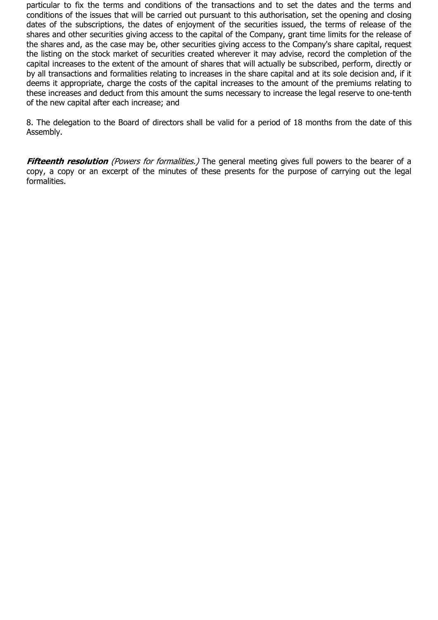particular to fix the terms and conditions of the transactions and to set the dates and the terms and conditions of the issues that will be carried out pursuant to this authorisation, set the opening and closing dates of the subscriptions, the dates of enjoyment of the securities issued, the terms of release of the shares and other securities giving access to the capital of the Company, grant time limits for the release of the shares and, as the case may be, other securities giving access to the Company's share capital, request the listing on the stock market of securities created wherever it may advise, record the completion of the capital increases to the extent of the amount of shares that will actually be subscribed, perform, directly or by all transactions and formalities relating to increases in the share capital and at its sole decision and, if it deems it appropriate, charge the costs of the capital increases to the amount of the premiums relating to these increases and deduct from this amount the sums necessary to increase the legal reserve to one-tenth of the new capital after each increase; and

8. The delegation to the Board of directors shall be valid for a period of 18 months from the date of this Assembly.

**Fifteenth resolution** (Powers for formalities.) The general meeting gives full powers to the bearer of a copy, a copy or an excerpt of the minutes of these presents for the purpose of carrying out the legal formalities.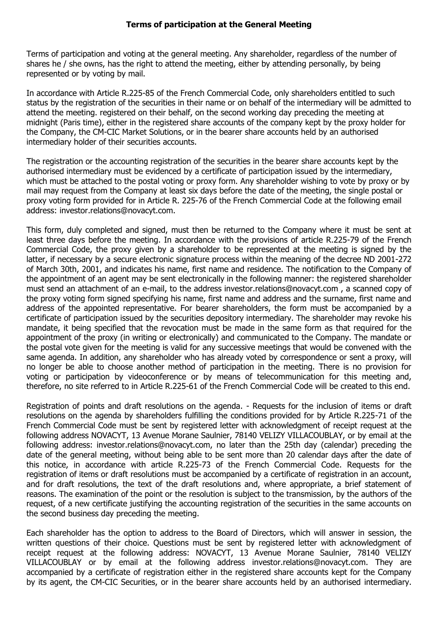Terms of participation and voting at the general meeting. Any shareholder, regardless of the number of shares he / she owns, has the right to attend the meeting, either by attending personally, by being represented or by voting by mail.

In accordance with Article R.225-85 of the French Commercial Code, only shareholders entitled to such status by the registration of the securities in their name or on behalf of the intermediary will be admitted to attend the meeting. registered on their behalf, on the second working day preceding the meeting at midnight (Paris time), either in the registered share accounts of the company kept by the proxy holder for the Company, the CM-CIC Market Solutions, or in the bearer share accounts held by an authorised intermediary holder of their securities accounts.

The registration or the accounting registration of the securities in the bearer share accounts kept by the authorised intermediary must be evidenced by a certificate of participation issued by the intermediary, which must be attached to the postal voting or proxy form. Any shareholder wishing to vote by proxy or by mail may request from the Company at least six days before the date of the meeting, the single postal or proxy voting form provided for in Article R. 225-76 of the French Commercial Code at the following email address: investor.relations@novacyt.com.

This form, duly completed and signed, must then be returned to the Company where it must be sent at least three days before the meeting. In accordance with the provisions of article R.225-79 of the French Commercial Code, the proxy given by a shareholder to be represented at the meeting is signed by the latter, if necessary by a secure electronic signature process within the meaning of the decree ND 2001-272 of March 30th, 2001, and indicates his name, first name and residence. The notification to the Company of the appointment of an agent may be sent electronically in the following manner: the registered shareholder must send an attachment of an e-mail, to the address investor.relations@novacyt.com , a scanned copy of the proxy voting form signed specifying his name, first name and address and the surname, first name and address of the appointed representative. For bearer shareholders, the form must be accompanied by a certificate of participation issued by the securities depository intermediary. The shareholder may revoke his mandate, it being specified that the revocation must be made in the same form as that required for the appointment of the proxy (in writing or electronically) and communicated to the Company. The mandate or the postal vote given for the meeting is valid for any successive meetings that would be convened with the same agenda. In addition, any shareholder who has already voted by correspondence or sent a proxy, will no longer be able to choose another method of participation in the meeting. There is no provision for voting or participation by videoconference or by means of telecommunication for this meeting and, therefore, no site referred to in Article R.225-61 of the French Commercial Code will be created to this end.

Registration of points and draft resolutions on the agenda. - Requests for the inclusion of items or draft resolutions on the agenda by shareholders fulfilling the conditions provided for by Article R.225-71 of the French Commercial Code must be sent by registered letter with acknowledgment of receipt request at the following address NOVACYT, 13 Avenue Morane Saulnier, 78140 VELIZY VILLACOUBLAY, or by email at the following address: investor.relations@novacyt.com, no later than the 25th day (calendar) preceding the date of the general meeting, without being able to be sent more than 20 calendar days after the date of this notice, in accordance with article R.225-73 of the French Commercial Code. Requests for the registration of items or draft resolutions must be accompanied by a certificate of registration in an account, and for draft resolutions, the text of the draft resolutions and, where appropriate, a brief statement of reasons. The examination of the point or the resolution is subject to the transmission, by the authors of the request, of a new certificate justifying the accounting registration of the securities in the same accounts on the second business day preceding the meeting.

Each shareholder has the option to address to the Board of Directors, which will answer in session, the written questions of their choice. Questions must be sent by registered letter with acknowledgment of receipt request at the following address: NOVACYT, 13 Avenue Morane Saulnier, 78140 VELIZY VILLACOUBLAY or by email at the following address investor.relations@novacyt.com. They are accompanied by a certificate of registration either in the registered share accounts kept for the Company by its agent, the CM-CIC Securities, or in the bearer share accounts held by an authorised intermediary.